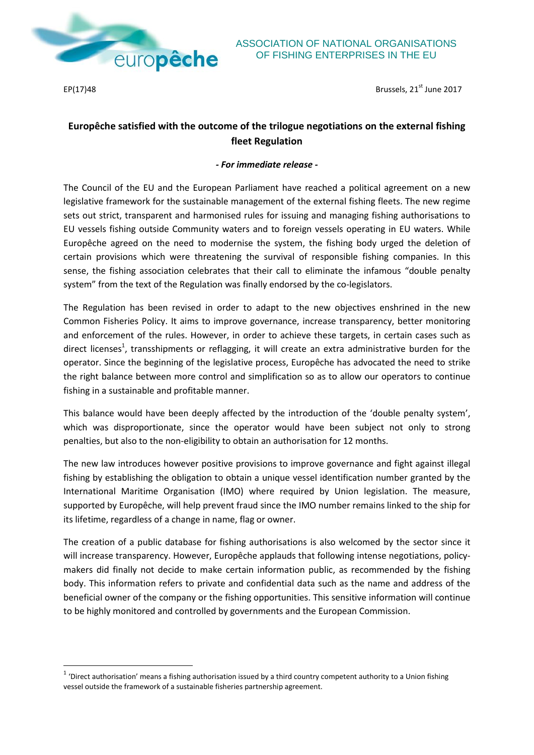

 $\overline{a}$ 

 $EP(17)48$  Brussels,  $21^{st}$  June 2017

## **Europêche satisfied with the outcome of the trilogue negotiations on the external fishing fleet Regulation**

## *- For immediate release -*

The Council of the EU and the European Parliament have reached a political agreement on a new legislative framework for the sustainable management of the external fishing fleets. The new regime sets out strict, transparent and harmonised rules for issuing and managing fishing authorisations to EU vessels fishing outside Community waters and to foreign vessels operating in EU waters. While Europêche agreed on the need to modernise the system, the fishing body urged the deletion of certain provisions which were threatening the survival of responsible fishing companies. In this sense, the fishing association celebrates that their call to eliminate the infamous "double penalty system" from the text of the Regulation was finally endorsed by the co-legislators.

The Regulation has been revised in order to adapt to the new objectives enshrined in the new Common Fisheries Policy. It aims to improve governance, increase transparency, better monitoring and enforcement of the rules. However, in order to achieve these targets, in certain cases such as direct licenses<sup>1</sup>, transshipments or reflagging, it will create an extra administrative burden for the operator. Since the beginning of the legislative process, Europêche has advocated the need to strike the right balance between more control and simplification so as to allow our operators to continue fishing in a sustainable and profitable manner.

This balance would have been deeply affected by the introduction of the 'double penalty system', which was disproportionate, since the operator would have been subject not only to strong penalties, but also to the non-eligibility to obtain an authorisation for 12 months.

The new law introduces however positive provisions to improve governance and fight against illegal fishing by establishing the obligation to obtain a unique vessel identification number granted by the International Maritime Organisation (IMO) where required by Union legislation. The measure, supported by Europêche, will help prevent fraud since the IMO number remains linked to the ship for its lifetime, regardless of a change in name, flag or owner.

The creation of a public database for fishing authorisations is also welcomed by the sector since it will increase transparency. However, Europêche applauds that following intense negotiations, policymakers did finally not decide to make certain information public, as recommended by the fishing body. This information refers to private and confidential data such as the name and address of the beneficial owner of the company or the fishing opportunities. This sensitive information will continue to be highly monitored and controlled by governments and the European Commission.

 $1$  'Direct authorisation' means a fishing authorisation issued by a third country competent authority to a Union fishing vessel outside the framework of a sustainable fisheries partnership agreement.